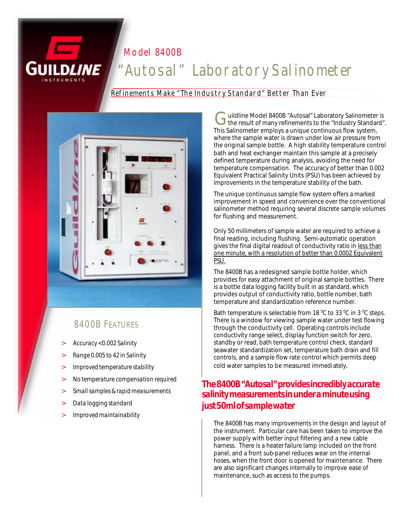#### *Model 8400B*

# *"Autosal" Laboratory Salinometer*

#### *Refinements Make "The Industry Standard" Better Than Ever*



#### *8400B FEATURES*

- *> Accuracy <0.002 Salinity*
- *> Range 0.005 to 42 in Salinity*
- *> Improved temperature stability*
- *> No temperature compensation required*
- *> Small samples & rapid measurements*
- *> Data logging standard*
- *> Improved maintainability*

G uildline Model 8400B "Autosal" Laboratory Salinometer is<br>the result of many refinements to the "Industry Standard". uildline Model 8400B "Autosal" Laboratory Salinometer is This Salinometer employs a unique continuous flow system, where the sample water is drawn under low air pressure from the original sample bottle. A high stability temperature control bath and heat exchanger maintain this sample at a precisely defined temperature during analysis, avoiding the need for temperature compensation. The accuracy of better than 0.002 Equivalent Practical Salinity Units (PSU) has been achieved by improvements in the temperature stability of the bath.

The unique continuous sample flow system offers a marked improvement in speed and convenience over the conventional salinometer method requiring several discrete sample volumes for flushing and measurement.

Only 50 millimeters of sample water are required to achieve a final reading, including flushing. Semi-automatic operation gives the final digital readout of conductivity ratio in less than one minute, with a resolution of better than 0.0002 Equivalent PSU.

The 8400B has a redesigned sample bottle holder, which provides for easy attachment of original sample bottles. There is a bottle data logging facility built in as standard, which provides output of conductivity ratio, bottle number, bath temperature and standardization reference number.

Bath temperature is selectable from 18  $^{\circ}$ C to 33  $^{\circ}$ C in 3  $^{\circ}$ C steps. There is a window for viewing sample water under test flowing through the conductivity cell. Operating controls include conductivity range select, display function switch for zero, standby or read, bath temperature control check, standard seawater standardization set, temperature bath drain and fill controls, and a sample flow rate control which permits deep cold water samples to be measured immediately.

### *The 8400B "Autosal" provides incredibly accurate salinity measurements in under a minute using just 50ml of sample water*

The 8400B has many improvements in the design and layout of the instrument. Particular care has been taken to improve the power supply with better input filtering and a new cable harness. There is a heater failure lamp included on the front panel, and a front sub-panel reduces wear on the internal hoses, when the front door is opened for maintenance. There are also significant changes internally to improve ease of maintenance, such as access to the pumps.